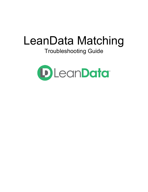# LeanData Matching

# Troubleshooting Guide

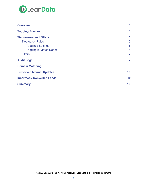

| <b>Overview</b>                    | 3              |
|------------------------------------|----------------|
| <b>Tagging Preview</b>             | 3              |
| <b>Tiebreakers and Filters</b>     | 5              |
| <b>Tiebreaker Rules</b>            | 5              |
| <b>Taggings Settings</b>           | 5              |
| <b>Tagging in Match Nodes</b>      | 6              |
| <b>Filters</b>                     | $\overline{7}$ |
| <b>Audit Logs</b>                  | $\overline{7}$ |
| <b>Domain Matching</b>             | 9              |
| <b>Preserved Manual Updates</b>    | 10             |
| <b>Incorrectly Converted Leads</b> | 10             |
| <b>Summary</b>                     | 10             |

© 2020 LeanData Inc. All rights reserved. LeanData is a registered trademark.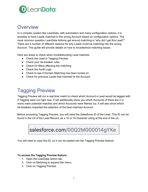

## <span id="page-2-0"></span>**Overview**

In a complex system like LeanData, with automation and many configuration options, it is possible to have Leads matched to the wrong Account based on configuration options. The most common question LeanData Admins get around matching is "why did I get this Lead?" There are a number of different reasons for why Leads could be matching into the wrong Account. This guide will provide details on how to troubleshoot matching issues.

Here are areas to check when troubleshooting Lead matches:

- Check the Lead in Tagging Preview
- Check your tie-breaker rules
- Check for filters affecting the matching
- Check the Audit Logs
- Check to see if Domain Matching has been turned on
- Check for previous Leads that matched to the Account

# <span id="page-2-1"></span>Tagging Preview

Tagging Preview will run a real time match to check which Account a Lead would be tagged with if Tagging were run right now. It will additionally show you which Accounts (if there are 2 or more) were potential matches and which Accounts were filtered out. It will also show which tie-breakers impacted the selection of the best matched Account.

Before accessing Tagging Preview, you will need the Salesforce ID of the Lead. This ID can be found in the Url of the Lead Record, as a 15 or 18 character string at the end of the url.

salesforce.com/00Q2M000014gYKe

You will need to copy this ID, so it can be pasted into the Tagging Preview feature.

#### **To access the Tagging Preview feature:**

- 1. Open the LeanData Admin tab.
- 2. Click on Matching to expand the menu.
- 3. Click on Tagging Preview.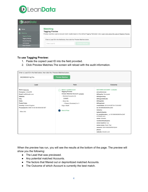

| D LeanData                                                                                        |                                                                                                                                                                                           |
|---------------------------------------------------------------------------------------------------|-------------------------------------------------------------------------------------------------------------------------------------------------------------------------------------------|
| Home<br>Matching<br><b>Tagging Preview</b>                                                        | <b>Matching</b><br><b>Tagging Preview</b><br>Preview real-time Lead-to-Account match results based on the defined Tagging Tiebreaker rules. Learn more about the uses of Tagging Preview. |
| <b>Tagging Settings</b><br><b>Account Scoring</b><br><b>List Analyzer</b><br><b>Buyer Persona</b> | Enter a Lead ID in the field below, then click the Preview Matches button.<br><b>Preview Matches</b><br>Enter Lead ID                                                                     |
|                                                                                                   |                                                                                                                                                                                           |

#### **To use Tagging Preview:**

- 1. Paste the copied Lead ID into the field provided.
- 2. Click Preview Matches.The screen will reload with the audit information.

| Enter a Lead ID in the field below, then click the Preview Matches button.                                                                                                                         |                                                                                                                                                                                                                                     |                                                                                                                                                                                                                                                                                                                                                                                                                                                                                       |  |  |
|----------------------------------------------------------------------------------------------------------------------------------------------------------------------------------------------------|-------------------------------------------------------------------------------------------------------------------------------------------------------------------------------------------------------------------------------------|---------------------------------------------------------------------------------------------------------------------------------------------------------------------------------------------------------------------------------------------------------------------------------------------------------------------------------------------------------------------------------------------------------------------------------------------------------------------------------------|--|--|
| 00Q2M000014gYKe                                                                                                                                                                                    | <b>Preview Matches</b>                                                                                                                                                                                                              |                                                                                                                                                                                                                                                                                                                                                                                                                                                                                       |  |  |
| Lead                                                                                                                                                                                               | Path                                                                                                                                                                                                                                | Outcome                                                                                                                                                                                                                                                                                                                                                                                                                                                                               |  |  |
| Name: Kevin Au<br>Company: LinkedON<br>Email: ka@linkedin.com<br>Website:<br>City:<br>State:<br>Postal Code:<br>Country: United Kingdom<br>Processed At: 2020-10-02 08:46:06 AM SST<br>> More Info | <b>Match: Lead2Account</b><br><b>Tagging Preview</b><br><b>Chosen Matched Account: Linkedin</b><br>$\vee$ Matched Accounts (1)<br>Linkedin<br>$\vee$ More Info<br>> Filtered (Excluded) 0 of 1<br>Edge: Match<br><b>End of Flow</b> | <b>MATCHED ACCOUNT - Linkedin</b><br>annualrevenue:<br>billingcity: Sunnyvale<br>billingcountry:<br>billingpostalcode:<br>billingstate:<br>billingstreet:<br>createddate: 2019-04-30T19:47:35.000Z<br>id: 0012M0000292XhcQAE<br>industry:<br>lastactivitydate:<br>Id emaildomains c: 0012M0000292XhcQAE<br>w:linkedin.com<br>name: Linkedin<br>numberofemployees:<br>owner.isactive: true<br>owner.name: Kevin Test<br>ownerid: 00541000000RSHQAA4<br>phone:<br>website: linkedin.com |  |  |

When the preview has run, you will see the results at the bottom of the page. The preview will show you the following:

- The Lead that was previewed.
- Any potential matched Accounts.
- The factors that filtered out or deprioritized matched Accounts.
- The Outcome of which Account is currently the best match.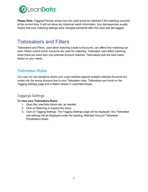

**Please Note**: Tagging Preview shows how the Lead would be matched if the matching occurred at the current time. It will not show any historical match information. Any discrepancies usually means that your matching settings were changed sometime after the Lead was last tagged.

## <span id="page-4-0"></span>Tiebreakers and Filters

Tiebreakers and Filters, used when matching Leads to Accounts, can affect how matching can work. Filters control which Accounts are used for matching. Tiebreaker rules affect matching when there are more than one potential Account matches. Tiebreakers pick the best match based on your needs.

## <span id="page-4-1"></span>Tiebreaker Rules

You may run into situations where your Lead matches against multiple matched Accounts but routes into the wrong Account due to your Tiebreaker rules. Tiebreakers are found on the Tagging Settings page and in Match Nodes in LeanData Router.

## <span id="page-4-2"></span>Taggings Settings

### **To view your Tiebreakers Rules:**

- 1. Open the LeanData Admin tab, as needed.
- 2. Click on Matching to expand the menu.
- 3. Click on Tagging Settings. The Tagging Settings page will be displayed. Any Tiebreaker rule settings will be displayed under the heading, Matched Account Tiebreaker Prioritization Rules.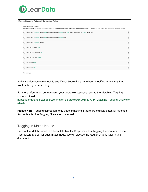

| <b>Matched Account Tiebreak Prioritization Rules</b>                                                                                                                                                                                |                   |
|-------------------------------------------------------------------------------------------------------------------------------------------------------------------------------------------------------------------------------------|-------------------|
| <b>Prioritize Matched Accounts</b><br>Specify Tiebreaker Rules in cases where LeanData finds multiple matched Accounts for a single Lead. Matched Accounts will go through the tiebreaker rules until a single Account is selected. |                   |
| $\leftarrow \rightarrow$<br>(Billing Country equals Country) AND (Billing State/Province equals State) AND (Billing Zip/Postal Code equals PostalCode)                                                                              | $-$               |
| $\leftarrow \rightarrow$<br>(Billing Country equals Country) AND (Billing State/Province equals State)                                                                                                                              | e                 |
| $\leftarrow \rightarrow$<br>(Billing Country equals Country)                                                                                                                                                                        | $(-)$             |
| ← Number of Children* MAX                                                                                                                                                                                                           | e                 |
| ← Number of Opportunities* MAX                                                                                                                                                                                                      | e                 |
| ← Number of Contacts* MAX                                                                                                                                                                                                           | $(-)$             |
| ← Last Activity MAX                                                                                                                                                                                                                 | e                 |
| $\leftarrow \uparrow \rightarrow$<br><b>Created Date MIN</b>                                                                                                                                                                        | $\left( -\right)$ |

In this section you can check to see if your tiebreakers have been modified in any way that would affect your matching.

For more information on managing your tiebreakers, please refer to the Matching Tagging Overview Guide:

[https://leandatahelp.zendesk.com/hc/en-us/articles/360016337754-Matching-Tagging-Overview](https://leandatahelp.zendesk.com/hc/en-us/articles/360016337754-Matching-Tagging-Overview-Guide) [-Guide](https://leandatahelp.zendesk.com/hc/en-us/articles/360016337754-Matching-Tagging-Overview-Guide)

**Please Note:** Tagging tiebreakers only affect matching if there are multiple potential matched Accounts after the Tagging filters are processed.

## <span id="page-5-0"></span>Tagging in Match Nodes

Each of the Match Nodes in a LeanData Router Graph includes Tagging Tiebreakers. These Tiebreakers are set for each match node. We will discuss the Router Graphs later in this document.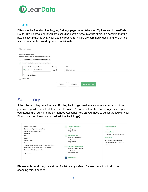

## <span id="page-6-0"></span>**Filters**

Filters can be found on the Tagging Settings page under Advanced Options and in LeadData Router like Tiebreakers. If you are excluding certain Accounts with filters, it's possible that the next closest match is what your Lead is routing to. Filters are commonly used to ignore things such as Accounts owned by certain individuals.

| <b>Advanced Settings</b>                                                                                                                |                                         |
|-----------------------------------------------------------------------------------------------------------------------------------------|-----------------------------------------|
| <b>Filter Matched Accounts</b><br>Identify matched Accounts to be considered/excluded:<br>Include matched Accounts based on conditions: |                                         |
| Exclude matched Accounts based on conditions:<br>$\bullet$<br>Value / Field<br><b>Account Field</b><br>Operator                         | Value                                   |
| 1.<br><b>Account Name</b><br>$(\bullet)$<br>equals                                                                                      | Nika Software                           |
| <b>New condition</b><br>$(+)$                                                                                                           |                                         |
| Do not filter                                                                                                                           |                                         |
| Cancel                                                                                                                                  | <b>Save Settings</b><br><b>Defaults</b> |

# <span id="page-6-1"></span>Audit Logs

If the mismatch happened in Lead Router, Audit Logs provide a visual representation of the journey a specific Lead took from start to finish. It's possible that the routing logic is set up so your Leads are routing to the unintended Accounts. You can/will need to adjust the logic in your Flowbuilder graph (you cannot adjust it in Audit Logs).



**Please Note:** Audit Logs are stored for 90 day by default. Please contact us to discuss changing this, if needed.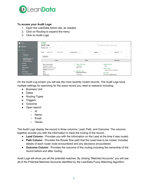

#### **To access your Audit Logs:**

- 1. Open the LeanData Admin tab, as needed.
- 2. Click on Routing to expand the menu.
- 3. Click on Audit Logs.

| Home<br>$\bigcirc$<br>Matching                                                                      | Lead<br><b>Audit Logs</b><br>All<br><b>Business Unit</b><br>$\checkmark$                                                       |                                                                                                                                                | Q Search ID, Name, Email, Owner                                                                                                     |
|-----------------------------------------------------------------------------------------------------|--------------------------------------------------------------------------------------------------------------------------------|------------------------------------------------------------------------------------------------------------------------------------------------|-------------------------------------------------------------------------------------------------------------------------------------|
| $\bigodot$<br>Routing<br>Leads<br>$\ddotmark$<br>FlowBuilder<br>Audit Logs                          | 2020-07-06<br>2020-10-04<br><b>Dates</b><br>Download                                                                           | <b>Routing Types</b><br>All<br>All<br><b>Triggers</b><br>$\vee$                                                                                | AII<br>Outcome<br>$\checkmark$<br>Previous Next                                                                                     |
| Deployment History &<br>Routing Insights<br><b>Advanced Settings</b>                                | Lead                                                                                                                           | Path                                                                                                                                           | Outcome                                                                                                                             |
| Contacts<br>Accounts<br>Opportunities<br>Cases<br><b>Round Robin</b><br><b>Territory Management</b> | Name: Steve Rogers<br>Company: Avengers<br>Email: cap@avengers.com<br>Website: avengers.com<br>City:<br>State:<br>Postal Code: | <b>Trigger: New Lead</b><br>> More Info<br>Edge: Insert<br><b>Decision: Lead</b><br><b>Marketing Qualified?</b><br>> More Info<br>11010<br>. . | <b>Triggering Action</b><br>Insert<br><b>Actions Taken</b><br>- Routed (Owner Assignment)<br>Ownership<br>New Owner: Marketing Hold |

On the Audit Log screen you will see the most recently routed records. The Audit Logs have multiple settings for searching for the exact record you need to research including:

- Business Unit
- Dates
- Routing Types
- Triggers
- Outcome
- Open search
	- Id
	- Name
	- Email
	- Owner

The Audit Logs display the record in three columns: Lead, Path, and Outcome. The columns together provide you with the information to track the routing of the record.

- **Lead Column** Provides you with the information on the Lead at the time it was routed.
- **Path Column** Provides the Router flow path that the Lead took to be routed. Includes details of each router node encountered and any decisions encountered.
- **Outcome Column** Provides the outcome of the routing including the ownership of the record before and after routing.

Audit Logs will show you all the potential matches. By clicking "Matched Accounts" you will see all of the Potential Matched Accounts identified by the LeanData Fuzzy Matching Algorithm.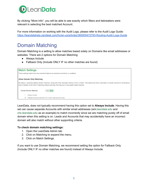

By clicking "More Info", you will be able to see exactly which filters and tiebreakers were relevant in selecting the best matched Account.

For more information on working with the Audit Logs, please refer to the Audit Logs Guide: <https://leandatahelp.zendesk.com/hc/en-us/articles/360005472793-Routing-Audit-Logs-Guide>

# <span id="page-8-0"></span>Domain Matching

Domain Matching is a setting to allow matches based solely on Domains like email addresses or websites. There are 2 options for Domain Matching:

- Always Include
- Fallback Only (Include ONLY IF no other matches are found)

| <b>Match Settings</b><br>These settings determine how matched objects are selected, prioritized, or updated.                                                                                                                                                                  |
|-------------------------------------------------------------------------------------------------------------------------------------------------------------------------------------------------------------------------------------------------------------------------------|
| <b>Allow Domain Only Matching</b>                                                                                                                                                                                                                                             |
| By default, LeanData utilizes domain matches, along with other standard criteria to form a match. This setting will allow LeanData to include records for tie-breaking<br>even if domain is the ONLY matching criteria (warning: this may pull in low quality match results). |
| Include Domain Matches<br>OFF ON                                                                                                                                                                                                                                              |
| Always Include                                                                                                                                                                                                                                                                |
| Fallback Only (Include ONLY IF no other matches are found)                                                                                                                                                                                                                    |

LeanData, does not typically recommend having this option set to **Always Include**. Having this set can cause separate Accounts with similar email addresses (wm[.leandata.edu](http://leandata.edu/) and [chs.leandata.edu](http://chs.leandata.edu/) as an example) to match incorrectly since we are matching purely off of email domain when this setting is on. Leads and Accounts that may accidentally have an incorrect domain will also match without other supporting criteria.

#### **To check domain matching settings:**

- 1. Open the LeanData Admin tab.
- 2. Click on Matching to expand the menu.
- 3. Click on Match Settings.

If you want to use Domain Matching, we recommend setting the option for Fallback Only (Include ONLY IF no other matches are found) instead of Always Include.